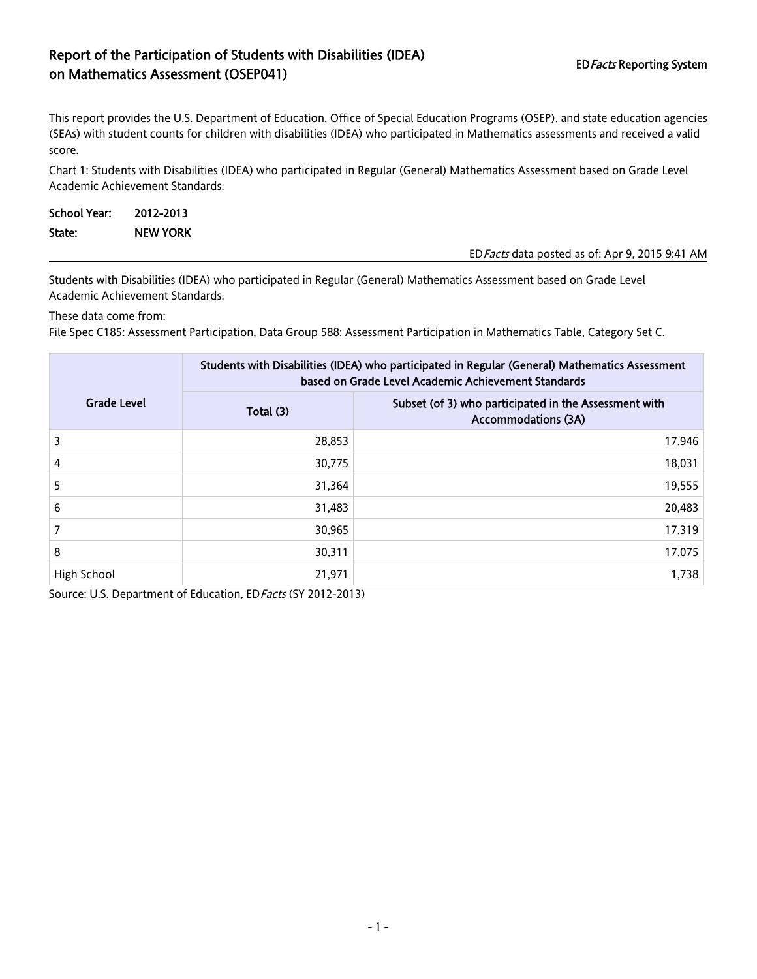## Report of the Participation of Students with Disabilities (IDEA) EDFacts Reporting System<br>
on Mathematics Assessment (OSEP041)

This report provides the U.S. Department of Education, Office of Special Education Programs (OSEP), and state education agencies (SEAs) with student counts for children with disabilities (IDEA) who participated in Mathematics assessments and received a valid score.

Chart 1: Students with Disabilities (IDEA) who participated in Regular (General) Mathematics Assessment based on Grade Level Academic Achievement Standards.

| School Year: | 2012-2013       |                                                 |
|--------------|-----------------|-------------------------------------------------|
| State:       | <b>NEW YORK</b> |                                                 |
|              |                 | ED Facts data posted as of: Apr 9, 2015 9:41 AM |

Students with Disabilities (IDEA) who participated in Regular (General) Mathematics Assessment based on Grade Level Academic Achievement Standards.

These data come from:

File Spec C185: Assessment Participation, Data Group 588: Assessment Participation in Mathematics Table, Category Set C.

|                    | Students with Disabilities (IDEA) who participated in Regular (General) Mathematics Assessment<br>based on Grade Level Academic Achievement Standards |                                                                                     |  |  |
|--------------------|-------------------------------------------------------------------------------------------------------------------------------------------------------|-------------------------------------------------------------------------------------|--|--|
| <b>Grade Level</b> | Total (3)                                                                                                                                             | Subset (of 3) who participated in the Assessment with<br><b>Accommodations (3A)</b> |  |  |
| 3                  | 28,853                                                                                                                                                | 17,946                                                                              |  |  |
| 4                  | 30,775                                                                                                                                                | 18,031                                                                              |  |  |
| 5                  | 31,364                                                                                                                                                | 19,555                                                                              |  |  |
| 6                  | 31,483                                                                                                                                                | 20,483                                                                              |  |  |
|                    | 30,965                                                                                                                                                | 17,319                                                                              |  |  |
| 8                  | 30,311                                                                                                                                                | 17,075                                                                              |  |  |
| High School        | 21,971                                                                                                                                                | 1,738                                                                               |  |  |

Source: U.S. Department of Education, ED Facts (SY 2012-2013)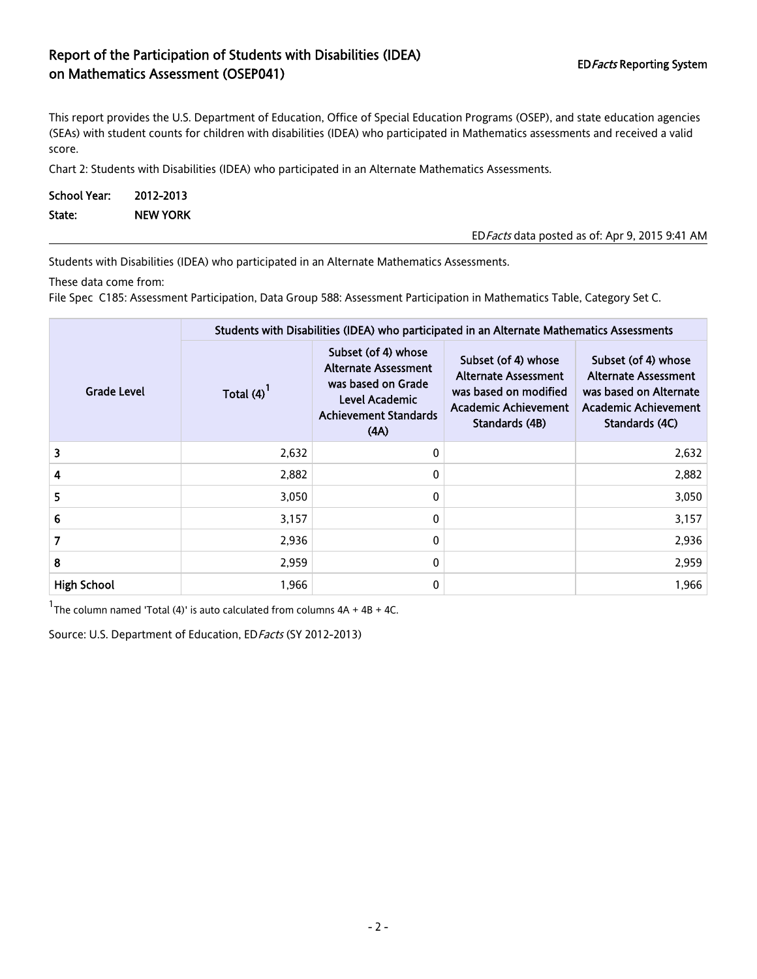## Report of the Participation of Students with Disabilities (IDEA) EDFacts Reporting System<br>
on Mathematics Assessment (OSEP041)

This report provides the U.S. Department of Education, Office of Special Education Programs (OSEP), and state education agencies (SEAs) with student counts for children with disabilities (IDEA) who participated in Mathematics assessments and received a valid score.

Chart 2: Students with Disabilities (IDEA) who participated in an Alternate Mathematics Assessments.

| School Year: | 2012-2013       |                                                 |
|--------------|-----------------|-------------------------------------------------|
| State:       | <b>NEW YORK</b> |                                                 |
|              |                 | ED Facts data posted as of: Apr 9, 2015 9:41 AM |

Students with Disabilities (IDEA) who participated in an Alternate Mathematics Assessments.

These data come from:

File Spec C185: Assessment Participation, Data Group 588: Assessment Participation in Mathematics Table, Category Set C.

|                    | Students with Disabilities (IDEA) who participated in an Alternate Mathematics Assessments |                                                                                                                                    |                                                                                                                              |                                                                                                                               |  |  |
|--------------------|--------------------------------------------------------------------------------------------|------------------------------------------------------------------------------------------------------------------------------------|------------------------------------------------------------------------------------------------------------------------------|-------------------------------------------------------------------------------------------------------------------------------|--|--|
| Grade Level        | Total $(4)$ <sup>1</sup>                                                                   | Subset (of 4) whose<br><b>Alternate Assessment</b><br>was based on Grade<br>Level Academic<br><b>Achievement Standards</b><br>(AA) | Subset (of 4) whose<br><b>Alternate Assessment</b><br>was based on modified<br><b>Academic Achievement</b><br>Standards (4B) | Subset (of 4) whose<br><b>Alternate Assessment</b><br>was based on Alternate<br><b>Academic Achievement</b><br>Standards (4C) |  |  |
| 3                  | 2,632                                                                                      | 0                                                                                                                                  |                                                                                                                              | 2,632                                                                                                                         |  |  |
| 4                  | 2,882                                                                                      | 0                                                                                                                                  |                                                                                                                              | 2,882                                                                                                                         |  |  |
| 5                  | 3,050                                                                                      | 0                                                                                                                                  |                                                                                                                              | 3,050                                                                                                                         |  |  |
| 6                  | 3,157                                                                                      | 0                                                                                                                                  |                                                                                                                              | 3,157                                                                                                                         |  |  |
| 7                  | 2,936                                                                                      | 0                                                                                                                                  |                                                                                                                              | 2,936                                                                                                                         |  |  |
| 8                  | 2,959                                                                                      | 0                                                                                                                                  |                                                                                                                              | 2,959                                                                                                                         |  |  |
| <b>High School</b> | 1,966                                                                                      | 0                                                                                                                                  |                                                                                                                              | 1.966                                                                                                                         |  |  |

 $1$ The column named 'Total (4)' is auto calculated from columns  $4A + 4B + 4C$ .

Source: U.S. Department of Education, ED Facts (SY 2012-2013)